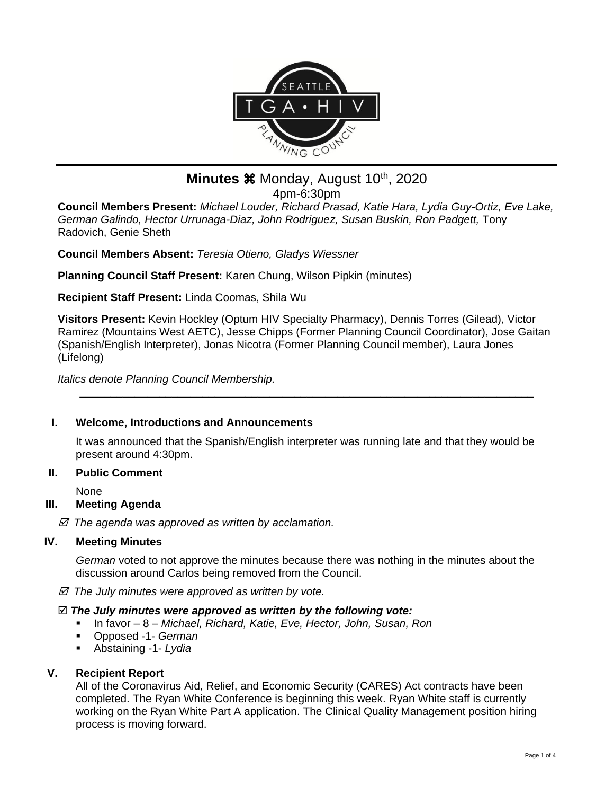

# **Minutes**  $\mathcal{H}$  Monday, August 10<sup>th</sup>, 2020

4pm-6:30pm

**Council Members Present:** *Michael Louder, Richard Prasad, Katie Hara, Lydia Guy-Ortiz, Eve Lake,*  German Galindo, Hector Urrunaga-Diaz, John Rodriguez, Susan Buskin, Ron Padgett, Tony Radovich, Genie Sheth

**Council Members Absent:** *Teresia Otieno, Gladys Wiessner*

**Planning Council Staff Present:** Karen Chung, Wilson Pipkin (minutes)

**Recipient Staff Present:** Linda Coomas, Shila Wu

**Visitors Present:** Kevin Hockley (Optum HIV Specialty Pharmacy), Dennis Torres (Gilead), Victor Ramirez (Mountains West AETC), Jesse Chipps (Former Planning Council Coordinator), Jose Gaitan (Spanish/English Interpreter), Jonas Nicotra (Former Planning Council member), Laura Jones (Lifelong)

*Italics denote Planning Council Membership.* 

## **I. Welcome, Introductions and Announcements**

It was announced that the Spanish/English interpreter was running late and that they would be present around 4:30pm.

\_\_\_\_\_\_\_\_\_\_\_\_\_\_\_\_\_\_\_\_\_\_\_\_\_\_\_\_\_\_\_\_\_\_\_\_\_\_\_\_\_\_\_\_\_\_\_\_\_\_\_\_\_\_\_\_\_\_\_\_\_\_\_\_\_\_\_\_\_\_\_\_\_\_

## **II. Public Comment**

None

## **III. Meeting Agenda**

 *The agenda was approved as written by acclamation.*

## **IV. Meeting Minutes**

*German* voted to not approve the minutes because there was nothing in the minutes about the discussion around Carlos being removed from the Council.

 *The July minutes were approved as written by vote.*

#### *The July minutes were approved as written by the following vote:*

- In favor 8 *Michael, Richard, Katie, Eve, Hector, John, Susan, Ron*
- Opposed -1- *German*
- Abstaining -1- *Lydia*

## **V. Recipient Report**

All of the Coronavirus Aid, Relief, and Economic Security (CARES) Act contracts have been completed. The Ryan White Conference is beginning this week. Ryan White staff is currently working on the Ryan White Part A application. The Clinical Quality Management position hiring process is moving forward.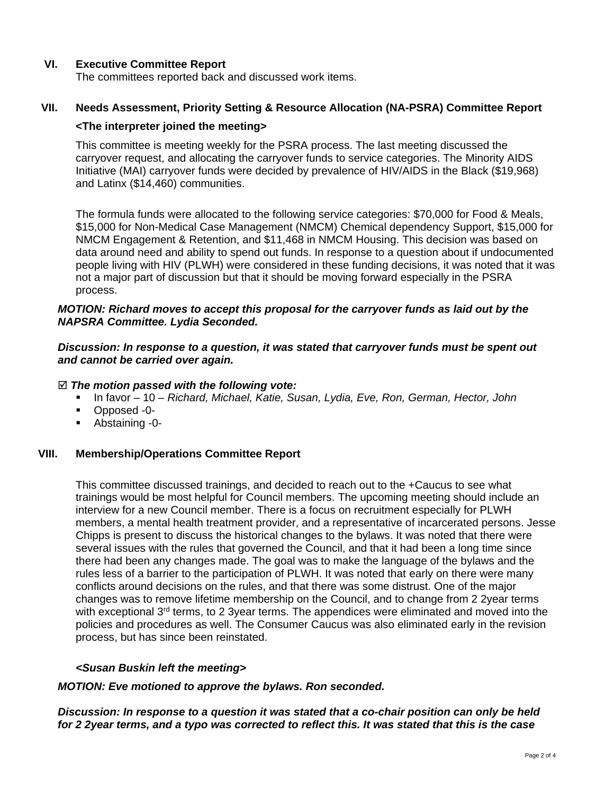## **VI. Executive Committee Report**

The committees reported back and discussed work items.

## **VII. Needs Assessment, Priority Setting & Resource Allocation (NA-PSRA) Committee Report**

#### **<The interpreter joined the meeting>**

This committee is meeting weekly for the PSRA process. The last meeting discussed the carryover request, and allocating the carryover funds to service categories. The Minority AIDS Initiative (MAI) carryover funds were decided by prevalence of HIV/AIDS in the Black (\$19,968) and Latinx (\$14,460) communities.

The formula funds were allocated to the following service categories: \$70,000 for Food & Meals, \$15,000 for Non-Medical Case Management (NMCM) Chemical dependency Support, \$15,000 for NMCM Engagement & Retention, and \$11,468 in NMCM Housing. This decision was based on data around need and ability to spend out funds. In response to a question about if undocumented people living with HIV (PLWH) were considered in these funding decisions, it was noted that it was not a major part of discussion but that it should be moving forward especially in the PSRA process.

#### *MOTION: Richard moves to accept this proposal for the carryover funds as laid out by the NAPSRA Committee. Lydia Seconded.*

#### *Discussion: In response to a question, it was stated that carryover funds must be spent out and cannot be carried over again.*

#### *The motion passed with the following vote:*

- In favor 10 *Richard, Michael, Katie, Susan, Lydia, Eve, Ron, German, Hector, John*
- Opposed -0-
- Abstaining -0-

#### **VIII. Membership/Operations Committee Report**

This committee discussed trainings, and decided to reach out to the +Caucus to see what trainings would be most helpful for Council members. The upcoming meeting should include an interview for a new Council member. There is a focus on recruitment especially for PLWH members, a mental health treatment provider, and a representative of incarcerated persons. Jesse Chipps is present to discuss the historical changes to the bylaws. It was noted that there were several issues with the rules that governed the Council, and that it had been a long time since there had been any changes made. The goal was to make the language of the bylaws and the rules less of a barrier to the participation of PLWH. It was noted that early on there were many conflicts around decisions on the rules, and that there was some distrust. One of the major changes was to remove lifetime membership on the Council, and to change from 2 2year terms with exceptional  $3<sup>rd</sup>$  terms, to 2 3year terms. The appendices were eliminated and moved into the policies and procedures as well. The Consumer Caucus was also eliminated early in the revision process, but has since been reinstated.

#### *<Susan Buskin left the meeting>*

#### *MOTION: Eve motioned to approve the bylaws. Ron seconded.*

*Discussion: In response to a question it was stated that a co-chair position can only be held for 2 2year terms, and a typo was corrected to reflect this. It was stated that this is the case*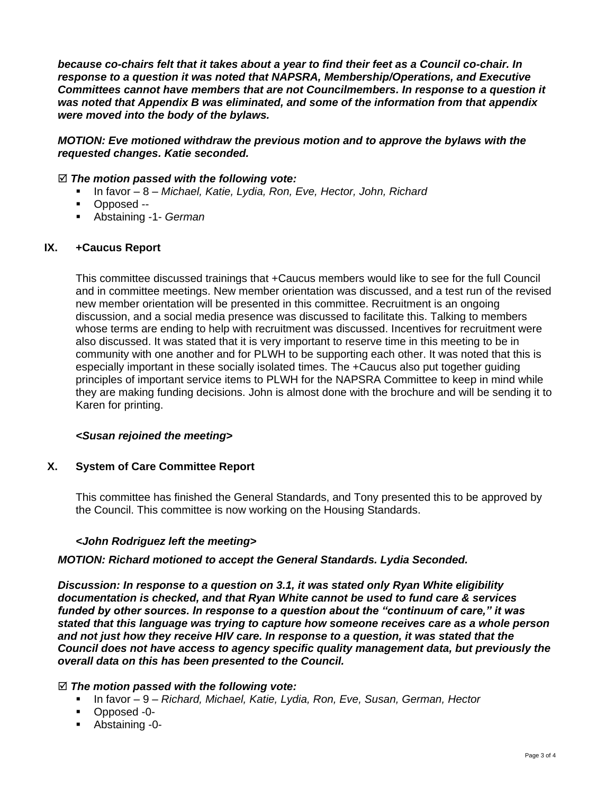*because co-chairs felt that it takes about a year to find their feet as a Council co-chair. In response to a question it was noted that NAPSRA, Membership/Operations, and Executive Committees cannot have members that are not Councilmembers. In response to a question it was noted that Appendix B was eliminated, and some of the information from that appendix were moved into the body of the bylaws.*

## *MOTION: Eve motioned withdraw the previous motion and to approve the bylaws with the requested changes. Katie seconded.*

#### *The motion passed with the following vote:*

- In favor 8 *Michael, Katie, Lydia, Ron, Eve, Hector, John, Richard*
- Opposed --
- Abstaining -1- *German*

#### **IX. +Caucus Report**

This committee discussed trainings that +Caucus members would like to see for the full Council and in committee meetings. New member orientation was discussed, and a test run of the revised new member orientation will be presented in this committee. Recruitment is an ongoing discussion, and a social media presence was discussed to facilitate this. Talking to members whose terms are ending to help with recruitment was discussed. Incentives for recruitment were also discussed. It was stated that it is very important to reserve time in this meeting to be in community with one another and for PLWH to be supporting each other. It was noted that this is especially important in these socially isolated times. The +Caucus also put together guiding principles of important service items to PLWH for the NAPSRA Committee to keep in mind while they are making funding decisions. John is almost done with the brochure and will be sending it to Karen for printing.

#### *<Susan rejoined the meeting>*

#### **X. System of Care Committee Report**

This committee has finished the General Standards, and Tony presented this to be approved by the Council. This committee is now working on the Housing Standards.

#### *<John Rodriguez left the meeting>*

#### *MOTION: Richard motioned to accept the General Standards. Lydia Seconded.*

*Discussion: In response to a question on 3.1, it was stated only Ryan White eligibility documentation is checked, and that Ryan White cannot be used to fund care & services funded by other sources. In response to a question about the "continuum of care," it was stated that this language was trying to capture how someone receives care as a whole person and not just how they receive HIV care. In response to a question, it was stated that the Council does not have access to agency specific quality management data, but previously the overall data on this has been presented to the Council.*

#### *The motion passed with the following vote:*

- In favor 9 *Richard, Michael, Katie, Lydia, Ron, Eve, Susan, German, Hector*
- Opposed -0-
- Abstaining -0-